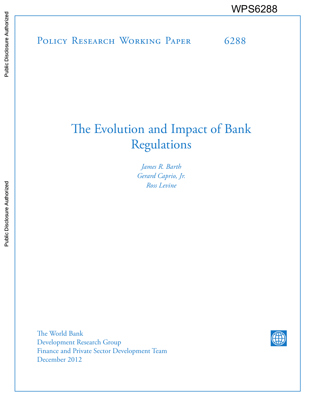POLICY RESEARCH WORKING PAPER 6288 WPS6288

# The Evolution and Impact of Bank Regulations

*James R. Barth Gerard Caprio, Jr. Ross Levine*

The World Bank Development Research Group Finance and Private Sector Development Team December 2012

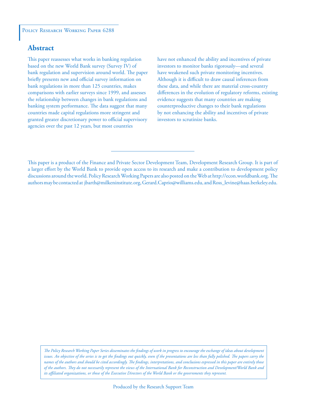#### POLICY RESEARCH WORKING PAPER 6288

# **Abstract**

This paper reassesses what works in banking regulation based on the new World Bank survey (Survey IV) of bank regulation and supervision around world. The paper briefly presents new and official survey information on bank regulations in more than 125 countries, makes comparisons with earlier surveys since 1999, and assesses the relationship between changes in bank regulations and banking system performance. The data suggest that many countries made capital regulations more stringent and granted greater discretionary power to official supervisory agencies over the past 12 years, but most countries

have not enhanced the ability and incentives of private investors to monitor banks rigorously—and several have weakened such private monitoring incentives. Although it is difficult to draw causal inferences from these data, and while there are material cross-country differences in the evolution of regulatory reforms, existing evidence suggests that many countries are making counterproductive changes to their bank regulations by not enhancing the ability and incentives of private investors to scrutinize banks.

This paper is a product of the Finance and Private Sector Development Team, Development Research Group. It is part of a larger effort by the World Bank to provide open access to its research and make a contribution to development policy discussions around the world. Policy Research Working Papers are also posted on the Web at http://econ.worldbank.org. The authors may be contacted at jbarth@milkeninstitute.org, Gerard.Caprio@williams.edu, and Ross\_levine@haas.berkeley.edu.

*The Policy Research Working Paper Series disseminates the findings of work in progress to encourage the exchange of ideas about development*  issues. An objective of the series is to get the findings out quickly, even if the presentations are less than fully polished. The papers carry the *names of the authors and should be cited accordingly. The findings, interpretations, and conclusions expressed in this paper are entirely those of the authors. They do not necessarily represent the views of the International Bank for Reconstruction and Development/World Bank and its affiliated organizations, or those of the Executive Directors of the World Bank or the governments they represent.*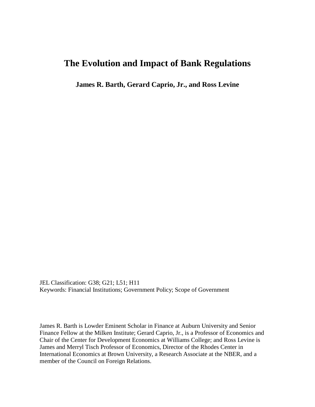# **The Evolution and Impact of Bank Regulations**

**James R. Barth, Gerard Caprio, Jr., and Ross Levine**

JEL Classification: G38; G21; L51; H11 Keywords: Financial Institutions; Government Policy; Scope of Government

James R. Barth is Lowder Eminent Scholar in Finance at Auburn University and Senior Finance Fellow at the Milken Institute; Gerard Caprio, Jr., is a Professor of Economics and Chair of the Center for Development Economics at Williams College; and Ross Levine is James and Merryl Tisch Professor of Economics, Director of the Rhodes Center in International Economics at Brown University, a Research Associate at the NBER, and a member of the Council on Foreign Relations.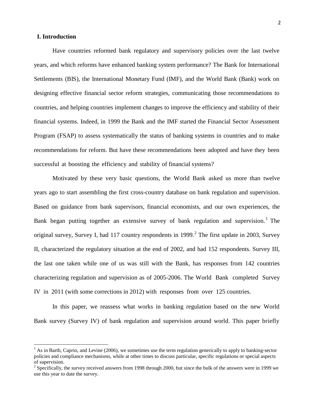# **I. Introduction**

l

Have countries reformed bank regulatory and supervisory policies over the last twelve years, and which reforms have enhanced banking system performance? The Bank for International Settlements (BIS), the International Monetary Fund (IMF), and the World Bank (Bank) work on designing effective financial sector reform strategies, communicating those recommendations to countries, and helping countries implement changes to improve the efficiency and stability of their financial systems. Indeed, in 1999 the Bank and the IMF started the Financial Sector Assessment Program (FSAP) to assess systematically the status of banking systems in countries and to make recommendations for reform. But have these recommendations been adopted and have they been successful at boosting the efficiency and stability of financial systems?

Motivated by these very basic questions, the World Bank asked us more than twelve years ago to start assembling the first cross-country database on bank regulation and supervision. Based on guidance from bank supervisors, financial economists, and our own experiences, the Bank began putting together an extensive survey of bank regulation and supervision.<sup>[1](#page-3-0)</sup> The original survey, Survey I, had 117 country respondents in 1999.<sup>[2](#page-3-1)</sup> The first update in 2003, Survey II, characterized the regulatory situation at the end of 2002, and had 152 respondents. Survey III, the last one taken while one of us was still with the Bank, has responses from 142 countries characterizing regulation and supervision as of 2005-2006. The World Bank completed Survey IV in 2011 (with some corrections in 2012) with responses from over 125 countries.

In this paper, we reassess what works in banking regulation based on the new World Bank survey (Survey IV) of bank regulation and supervision around world. This paper briefly

<span id="page-3-0"></span><sup>&</sup>lt;sup>1</sup> As in Barth, Caprio, and Levine (2006), we sometimes use the term regulation generically to apply to banking-sector policies and compliance mechanisms, while at other times to discuss particular, specific regulations or special aspects of supervision.

<span id="page-3-1"></span><sup>&</sup>lt;sup>2</sup> Specifically, the survey received answers from 1998 through 2000, but since the bulk of the answers were in 1999 we use this year to date the survey.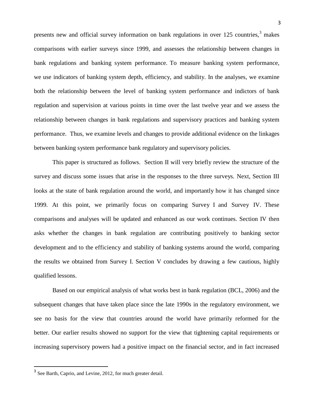presents new and official survey information on bank regulations in over  $125$  countries,<sup>[3](#page-4-0)</sup> makes comparisons with earlier surveys since 1999, and assesses the relationship between changes in bank regulations and banking system performance. To measure banking system performance, we use indicators of banking system depth, efficiency, and stability. In the analyses, we examine both the relationship between the level of banking system performance and indictors of bank regulation and supervision at various points in time over the last twelve year and we assess the relationship between changes in bank regulations and supervisory practices and banking system performance. Thus, we examine levels and changes to provide additional evidence on the linkages between banking system performance bank regulatory and supervisory policies.

This paper is structured as follows. Section II will very briefly review the structure of the survey and discuss some issues that arise in the responses to the three surveys. Next, Section III looks at the state of bank regulation around the world, and importantly how it has changed since 1999. At this point, we primarily focus on comparing Survey I and Survey IV. These comparisons and analyses will be updated and enhanced as our work continues. Section IV then asks whether the changes in bank regulation are contributing positively to banking sector development and to the efficiency and stability of banking systems around the world, comparing the results we obtained from Survey I. Section V concludes by drawing a few cautious, highly qualified lessons.

Based on our empirical analysis of what works best in bank regulation (BCL, 2006) and the subsequent changes that have taken place since the late 1990s in the regulatory environment, we see no basis for the view that countries around the world have primarily reformed for the better. Our earlier results showed no support for the view that tightening capital requirements or increasing supervisory powers had a positive impact on the financial sector, and in fact increased

 $\overline{\phantom{a}}$ 

<span id="page-4-0"></span><sup>&</sup>lt;sup>3</sup> See Barth, Caprio, and Levine, 2012, for much greater detail.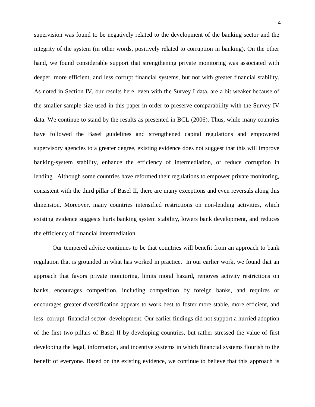supervision was found to be negatively related to the development of the banking sector and the integrity of the system (in other words, positively related to corruption in banking). On the other hand, we found considerable support that strengthening private monitoring was associated with deeper, more efficient, and less corrupt financial systems, but not with greater financial stability. As noted in Section IV, our results here, even with the Survey I data, are a bit weaker because of the smaller sample size used in this paper in order to preserve comparability with the Survey IV data. We continue to stand by the results as presented in BCL (2006). Thus, while many countries have followed the Basel guidelines and strengthened capital regulations and empowered supervisory agencies to a greater degree, existing evidence does not suggest that this will improve banking-system stability, enhance the efficiency of intermediation, or reduce corruption in lending. Although some countries have reformed their regulations to empower private monitoring, consistent with the third pillar of Basel II, there are many exceptions and even reversals along this dimension. Moreover, many countries intensified restrictions on non-lending activities, which existing evidence suggests hurts banking system stability, lowers bank development, and reduces the efficiency of financial intermediation.

Our tempered advice continues to be that countries will benefit from an approach to bank regulation that is grounded in what has worked in practice. In our earlier work, we found that an approach that favors private monitoring, limits moral hazard, removes activity restrictions on banks, encourages competition, including competition by foreign banks, and requires or encourages greater diversification appears to work best to foster more stable, more efficient, and less corrupt financial-sector development. Our earlier findings did not support a hurried adoption of the first two pillars of Basel II by developing countries, but rather stressed the value of first developing the legal, information, and incentive systems in which financial systems flourish to the benefit of everyone. Based on the existing evidence, we continue to believe that this approach is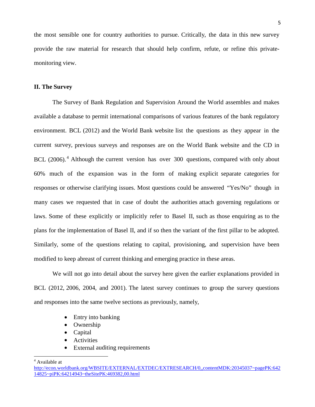the most sensible one for country authorities to pursue. Critically, the data in this new survey provide the raw material for research that should help confirm, refute, or refine this privatemonitoring view.

## **II. The Survey**

The Survey of Bank Regulation and Supervision Around the World assembles and makes available a database to permit international comparisons of various features of the bank regulatory environment. BCL (2012) and the World Bank website list the questions as they appear in the current survey, previous surveys and responses are on the World Bank website and the CD in BCL (2006).<sup>[4](#page-6-0)</sup> Although the current version has over 300 questions, compared with only about 60% much of the expansion was in the form of making explicit separate categories for responses or otherwise clarifying issues. Most questions could be answered "Yes/No" though in many cases we requested that in case of doubt the authorities attach governing regulations or laws. Some of these explicitly or implicitly refer to Basel II, such as those enquiring as to the plans for the implementation of Basel II, and if so then the variant of the first pillar to be adopted. Similarly, some of the questions relating to capital, provisioning, and supervision have been modified to keep abreast of current thinking and emerging practice in these areas.

We will not go into detail about the survey here given the earlier explanations provided in BCL (2012, 2006, 2004, and 2001). The latest survey continues to group the survey questions and responses into the same twelve sections as previously, namely,

- Entry into banking
- Ownership
- Capital
- Activities
- External auditing requirements

<span id="page-6-0"></span><sup>4</sup> Available at

 $\overline{\phantom{a}}$ 

[http://econ.worldbank.org/WBSITE/EXTERNAL/EXTDEC/EXTRESEARCH/0,,contentMDK:20345037~pagePK:642](http://econ.worldbank.org/WBSITE/EXTERNAL/EXTDEC/EXTRESEARCH/0,,contentMDK:20345037~pagePK:64214825~piPK:64214943~theSitePK:469382,00.html) [14825~piPK:64214943~theSitePK:469382,00.html](http://econ.worldbank.org/WBSITE/EXTERNAL/EXTDEC/EXTRESEARCH/0,,contentMDK:20345037~pagePK:64214825~piPK:64214943~theSitePK:469382,00.html)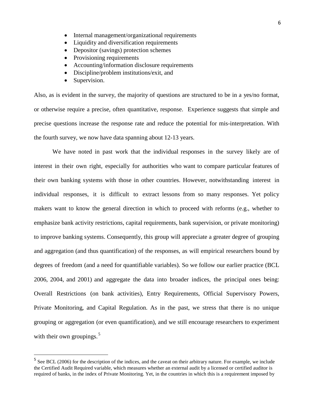- Internal management/organizational requirements
- Liquidity and diversification requirements
- Depositor (savings) protection schemes
- Provisioning requirements
- Accounting/information disclosure requirements
- Discipline/problem institutions/exit, and
- Supervision.

 $\overline{\phantom{a}}$ 

Also, as is evident in the survey, the majority of questions are structured to be in a yes/no format, or otherwise require a precise, often quantitative, response. Experience suggests that simple and precise questions increase the response rate and reduce the potential for mis-interpretation. With the fourth survey, we now have data spanning about 12-13 years.

We have noted in past work that the individual responses in the survey likely are of interest in their own right, especially for authorities who want to compare particular features of their own banking systems with those in other countries. However, notwithstanding interest in individual responses, it is difficult to extract lessons from so many responses. Yet policy makers want to know the general direction in which to proceed with reforms (e.g., whether to emphasize bank activity restrictions, capital requirements, bank supervision, or private monitoring) to improve banking systems. Consequently, this group will appreciate a greater degree of grouping and aggregation (and thus quantification) of the responses, as will empirical researchers bound by degrees of freedom (and a need for quantifiable variables). So we follow our earlier practice (BCL 2006, 2004, and 2001) and aggregate the data into broader indices, the principal ones being: Overall Restrictions (on bank activities), Entry Requirements, Official Supervisory Powers, Private Monitoring, and Capital Regulation. As in the past, we stress that there is no unique grouping or aggregation (or even quantification), and we still encourage researchers to experiment with their own groupings. $5$ 

<span id="page-7-0"></span><sup>&</sup>lt;sup>5</sup> See BCL (2006) for the description of the indices, and the caveat on their arbitrary nature. For example, we include the Certified Audit Required variable, which measures whether an external audit by a licensed or certified auditor is required of banks, in the index of Private Monitoring. Yet, in the countries in which this is a requirement imposed by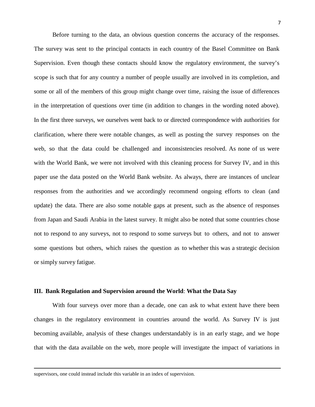Before turning to the data, an obvious question concerns the accuracy of the responses. The survey was sent to the principal contacts in each country of the Basel Committee on Bank Supervision. Even though these contacts should know the regulatory environment, the survey's scope is such that for any country a number of people usually are involved in its completion, and some or all of the members of this group might change over time, raising the issue of differences in the interpretation of questions over time (in addition to changes in the wording noted above). In the first three surveys, we ourselves went back to or directed correspondence with authorities for clarification, where there were notable changes, as well as posting the survey responses on the web, so that the data could be challenged and inconsistencies resolved. As none of us were with the World Bank, we were not involved with this cleaning process for Survey IV, and in this paper use the data posted on the World Bank website. As always, there are instances of unclear responses from the authorities and we accordingly recommend ongoing efforts to clean (and update) the data. There are also some notable gaps at present, such as the absence of responses from Japan and Saudi Arabia in the latest survey. It might also be noted that some countries chose not to respond to any surveys, not to respond to some surveys but to others, and not to answer some questions but others, which raises the question as to whether this was a strategic decision or simply survey fatigue.

# **III. Bank Regulation and Supervision around the World**: **What the Data Say**

With four surveys over more than a decade, one can ask to what extent have there been changes in the regulatory environment in countries around the world. As Survey IV is just becoming available, analysis of these changes understandably is in an early stage, and we hope that with the data available on the web, more people will investigate the impact of variations in

l

supervisors, one could instead include this variable in an index of supervision.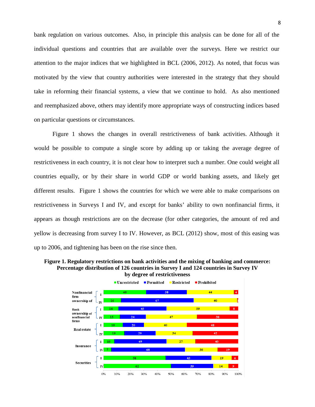bank regulation on various outcomes. Also, in principle this analysis can be done for all of the individual questions and countries that are available over the surveys. Here we restrict our attention to the major indices that we highlighted in BCL (2006, 2012). As noted, that focus was motivated by the view that country authorities were interested in the strategy that they should take in reforming their financial systems, a view that we continue to hold. As also mentioned and reemphasized above, others may identify more appropriate ways of constructing indices based on particular questions or circumstances.

Figure 1 shows the changes in overall restrictiveness of bank activities. Although it would be possible to compute a single score by adding up or taking the average degree of restrictiveness in each country, it is not clear how to interpret such a number. One could weight all countries equally, or by their share in world GDP or world banking assets, and likely get different results. Figure 1 shows the countries for which we were able to make comparisons on restrictiveness in Surveys I and IV, and except for banks' ability to own nonfinancial firms, it appears as though restrictions are on the decrease (for other categories, the amount of red and yellow is decreasing from survey I to IV. However, as BCL (2012) show, most of this easing was up to 2006, and tightening has been on the rise since then.

**Figure 1. Regulatory restrictions on bank activities and the mixing of banking and commerce: Percentage distribution of 126 countries in Survey I and 124 countries in Survey IV by degree of restrictiveness**

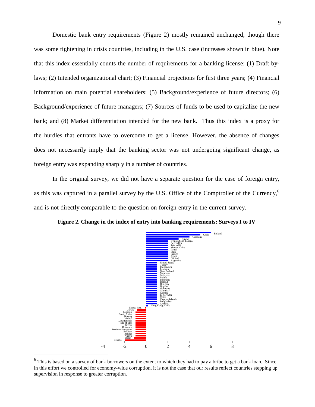Domestic bank entry requirements (Figure 2) mostly remained unchanged, though there was some tightening in crisis countries, including in the U.S. case (increases shown in blue). Note that this index essentially counts the number of requirements for a banking license: (1) Draft bylaws; (2) Intended organizational chart; (3) Financial projections for first three years; (4) Financial information on main potential shareholders; (5) Background/experience of future directors; (6) Background/experience of future managers; (7) Sources of funds to be used to capitalize the new bank; and (8) Market differentiation intended for the new bank. Thus this index is a proxy for the hurdles that entrants have to overcome to get a license. However, the absence of changes does not necessarily imply that the banking sector was not undergoing significant change, as foreign entry was expanding sharply in a number of countries.

In the original survey, we did not have a separate question for the ease of foreign entry, as this was captured in a parallel survey by the U.S. Office of the Comptroller of the Currency,<sup>[6](#page-10-0)</sup> and is not directly comparable to the question on foreign entry in the current survey.





<span id="page-10-0"></span><sup>&</sup>lt;sup>6</sup> This is based on a survey of bank borrowers on the extent to which they had to pay a bribe to get a bank loan. Since in this effort we controlled for economy-wide corruption, it is not the case that our results reflect countries stepping up supervision in response to greater corruption.

 $\overline{\phantom{a}}$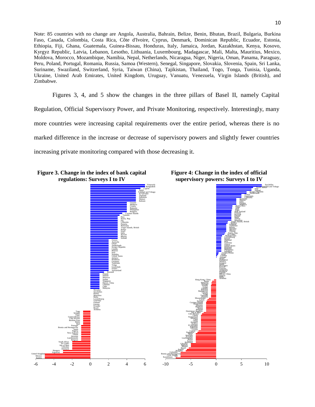Note: 85 countries with no change are Angola, Australia, Bahrain, Belize, Benin, Bhutan, Brazil, Bulgaria, Burkina Faso, Canada, Colombia, Costa Rica, Côte d'Ivoire, Cyprus, Denmark, Dominican Republic, Ecuador, Estonia, Ethiopia, Fiji, Ghana, Guatemala, Guinea-Bissau, Honduras, Italy, Jamaica, Jordan, Kazakhstan, Kenya, Kosovo, Kyrgyz Republic, Latvia, Lebanon, Lesotho, Lithuania, Luxembourg, Madagascar, Mali, Malta, Mauritius, Mexico, Moldova, Morocco, Mozambique, Namibia, Nepal, Netherlands, Nicaragua, Niger, Nigeria, Oman, Panama, Paraguay, Peru, Poland, Portugal, Romania, Russia, Samoa (Western), Senegal, Singapore, Slovakia, Slovenia, Spain, Sri Lanka, Suriname, Swaziland, Switzerland, Syria, Taiwan (China), Tajikistan, Thailand, Togo, Tonga, Tunisia, Uganda, Ukraine, United Arab Emirates, United Kingdom, Uruguay, Vanuatu, Venezuela, Virgin Islands (British), and Zimbabwe.

Figures 3, 4, and 5 show the changes in the three pillars of Basel II, namely Capital Regulation, Official Supervisory Power, and Private Monitoring, respectively. Interestingly, many more countries were increasing capital requirements over the entire period, whereas there is no marked difference in the increase or decrease of supervisory powers and slightly fewer countries increasing private monitoring compared with those decreasing it.

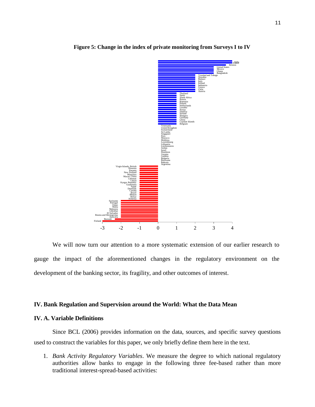

**Figure 5: Change in the index of private monitoring from Surveys I to IV**

We will now turn our attention to a more systematic extension of our earlier research to gauge the impact of the aforementioned changes in the regulatory environment on the development of the banking sector, its fragility, and other outcomes of interest.

# **IV. Bank Regulation and Supervision around the World: What the Data Mean**

# **IV. A. Variable Definitions**

Since BCL (2006) provides information on the data, sources, and specific survey questions used to construct the variables for this paper, we only briefly define them here in the text.

1. *Bank Activity Regulatory Variables*. We measure the degree to which national regulatory authorities allow banks to engage in the following three fee-based rather than more traditional interest-spread-based activities: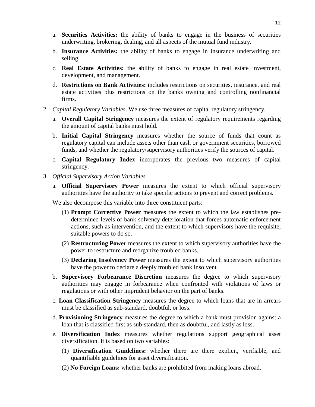- a. **Securities Activities:** the ability of banks to engage in the business of securities underwriting, brokering, dealing, and all aspects of the mutual fund industry.
- b. **Insurance Activities:** the ability of banks to engage in insurance underwriting and selling.
- c. **Real Estate Activities:** the ability of banks to engage in real estate investment, development, and management.
- d. **Restrictions on Bank Activities:** includes restrictions on securities, insurance, and real estate activities plus restrictions on the banks owning and controlling nonfinancial firms.
- 2. *Capital Regulatory Variables*. We use three measures of capital regulatory stringency.
	- a. **Overall Capital Stringency** measures the extent of regulatory requirements regarding the amount of capital banks must hold.
	- b. **Initial Capital Stringency** measures whether the source of funds that count as regulatory capital can include assets other than cash or government securities, borrowed funds, and whether the regulatory/supervisory authorities verify the sources of capital.
	- c. **Capital Regulatory Index** incorporates the previous two measures of capital stringency.
- 3. *Official Supervisory Action Variables.*
	- a. **Official Supervisory Power** measures the extent to which official supervisory authorities have the authority to take specific actions to prevent and correct problems.

We also decompose this variable into three constituent parts:

- (1) **Prompt Corrective Power** measures the extent to which the law establishes predetermined levels of bank solvency deterioration that forces automatic enforcement actions, such as intervention, and the extent to which supervisors have the requisite, suitable powers to do so.
- (2) **Restructuring Power** measures the extent to which supervisory authorities have the power to restructure and reorganize troubled banks.
- (3) **Declaring Insolvency Power** measures the extent to which supervisory authorities have the power to declare a deeply troubled bank insolvent.
- b. **Supervisory Forbearance Discretion** measures the degree to which supervisory authorities may engage in forbearance when confronted with violations of laws or regulations or with other imprudent behavior on the part of banks.
- c. **Loan Classification Stringency** measures the degree to which loans that are in arrears must be classified as sub-standard, doubtful, or loss.
- d. **Provisioning Stringency** measures the degree to which a bank must provision against a loan that is classified first as sub-standard, then as doubtful, and lastly as loss.
- e. **Diversification Index** measures whether regulations support geographical asset diversification. It is based on two variables:
	- (1) **Diversification Guidelines:** whether there are there explicit, verifiable, and quantifiable guidelines for asset diversification.
	- (2) **No Foreign Loans:** whether banks are prohibited from making loans abroad.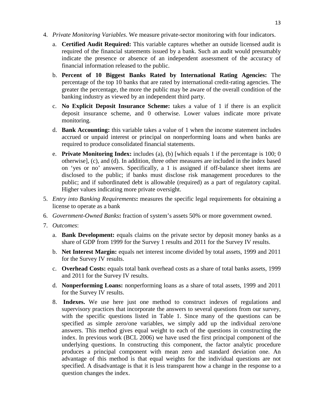- 4. *Private Monitoring Variables*. We measure private-sector monitoring with four indicators.
	- a. **Certified Audit Required:** This variable captures whether an outside licensed audit is required of the financial statements issued by a bank. Such an audit would presumably indicate the presence or absence of an independent assessment of the accuracy of financial information released to the public.
	- b. **Percent of 10 Biggest Banks Rated by International Rating Agencies:** The percentage of the top 10 banks that are rated by international credit-rating agencies. The greater the percentage, the more the public may be aware of the overall condition of the banking industry as viewed by an independent third party.
	- c. **No Explicit Deposit Insurance Scheme:** takes a value of 1 if there is an explicit deposit insurance scheme, and 0 otherwise. Lower values indicate more private monitoring.
	- d. **Bank Accounting:** this variable takes a value of 1 when the income statement includes accrued or unpaid interest or principal on nonperforming loans and when banks are required to produce consolidated financial statements.
	- e. **Private Monitoring Index:** includes (a), (b) [which equals 1 if the percentage is 100; 0 otherwise], (c), and (d). In addition, three other measures are included in the index based on 'yes or no' answers. Specifically, a 1 is assigned if off-balance sheet items are disclosed to the public; if banks must disclose risk management procedures to the public; and if subordinated debt is allowable (required) as a part of regulatory capital. Higher values indicating more private oversight.
- 5. *Entry into Banking Requirements***:** measures the specific legal requirements for obtaining a license to operate as a bank
- 6. *Government-Owned Banks***:** fraction of system's assets 50% or more government owned.
- 7. *Outcomes*:
	- a. **Bank Development:** equals claims on the private sector by deposit money banks as a share of GDP from 1999 for the Survey 1 results and 2011 for the Survey IV results.
	- b. **Net Interest Margin:** equals net interest income divided by total assets, 1999 and 2011 for the Survey IV results.
	- c. **Overhead Costs:** equals total bank overhead costs as a share of total banks assets, 1999 and 2011 for the Survey IV results.
	- d. **Nonperforming Loans:** nonperforming loans as a share of total assets, 1999 and 2011 for the Survey IV results.
	- 8. **Indexes.** We use here just one method to construct indexes of regulations and supervisory practices that incorporate the answers to several questions from our survey, with the specific questions listed in Table 1. Since many of the questions can be specified as simple zero/one variables, we simply add up the individual zero/one answers. This method gives equal weight to each of the questions in constructing the index. In previous work (BCL 2006) we have used the first principal component of the underlying questions. In constructing this component, the factor analytic procedure produces a principal component with mean zero and standard deviation one. An advantage of this method is that equal weights for the individual questions are not specified. A disadvantage is that it is less transparent how a change in the response to a question changes the index.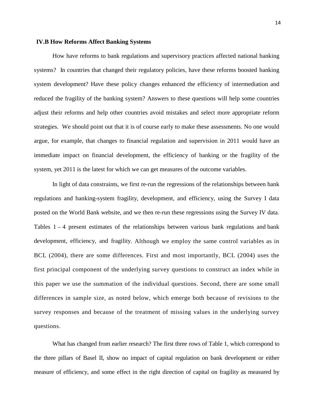### **IV.B How Reforms Affect Banking Systems**

How have reforms to bank regulations and supervisory practices affected national banking systems? In countries that changed their regulatory policies, have these reforms boosted banking system development? Have these policy changes enhanced the efficiency of intermediation and reduced the fragility of the banking system? Answers to these questions will help some countries adjust their reforms and help other countries avoid mistakes and select more appropriate reform strategies. We should point out that it is of course early to make these assessments. No one would argue, for example, that changes to financial regulation and supervision in 2011 would have an immediate impact on financial development, the efficiency of banking or the fragility of the system, yet 2011 is the latest for which we can get measures of the outcome variables.

In light of data constraints, we first re-run the regressions of the relationships between bank regulations and banking-system fragility, development, and efficiency, using the Survey I data posted on the World Bank website, and we then re-run these regressions using the Survey IV data. Tables  $1 - 4$  present estimates of the relationships between various bank regulations and bank development, efficiency, and fragility. Although we employ the same control variables as in BCL (2004), there are some differences. First and most importantly, BCL (2004) uses the first principal component of the underlying survey questions to construct an index while in this paper we use the summation of the individual questions. Second, there are some small differences in sample size, as noted below, which emerge both because of revisions to the survey responses and because of the treatment of missing values in the underlying survey questions.

What has changed from earlier research? The first three rows of Table 1, which correspond to the three pillars of Basel II, show no impact of capital regulation on bank development or either measure of efficiency, and some effect in the right direction of capital on fragility as measured by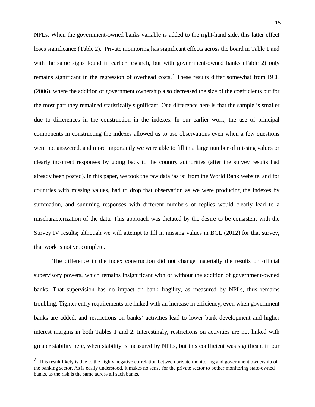NPLs. When the government-owned banks variable is added to the right-hand side, this latter effect loses significance (Table 2). Private monitoring has significant effects across the board in Table 1 and with the same signs found in earlier research, but with government-owned banks (Table 2) only remains significant in the regression of overhead costs.<sup>[7](#page-16-0)</sup> These results differ somewhat from BCL (2006), where the addition of government ownership also decreased the size of the coefficients but for the most part they remained statistically significant. One difference here is that the sample is smaller due to differences in the construction in the indexes. In our earlier work, the use of principal components in constructing the indexes allowed us to use observations even when a few questions were not answered, and more importantly we were able to fill in a large number of missing values or clearly incorrect responses by going back to the country authorities (after the survey results had already been posted). In this paper, we took the raw data 'as is' from the World Bank website, and for countries with missing values, had to drop that observation as we were producing the indexes by summation, and summing responses with different numbers of replies would clearly lead to a mischaracterization of the data. This approach was dictated by the desire to be consistent with the Survey IV results; although we will attempt to fill in missing values in BCL (2012) for that survey, that work is not yet complete.

The difference in the index construction did not change materially the results on official supervisory powers, which remains insignificant with or without the addition of government-owned banks. That supervision has no impact on bank fragility, as measured by NPLs, thus remains troubling. Tighter entry requirements are linked with an increase in efficiency, even when government banks are added, and restrictions on banks' activities lead to lower bank development and higher interest margins in both Tables 1 and 2. Interestingly, restrictions on activities are not linked with greater stability here, when stability is measured by NPLs, but this coefficient was significant in our

 $\overline{\phantom{a}}$ 

<span id="page-16-0"></span><sup>&</sup>lt;sup>7</sup> This result likely is due to the highly negative correlation between private monitoring and government ownership of the banking sector. As is easily understood, it makes no sense for the private sector to bother monitoring state-owned banks, as the risk is the same across all such banks.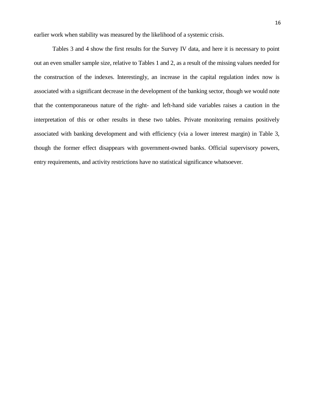earlier work when stability was measured by the likelihood of a systemic crisis.

Tables 3 and 4 show the first results for the Survey IV data, and here it is necessary to point out an even smaller sample size, relative to Tables 1 and 2, as a result of the missing values needed for the construction of the indexes. Interestingly, an increase in the capital regulation index now is associated with a significant decrease in the development of the banking sector, though we would note that the contemporaneous nature of the right- and left-hand side variables raises a caution in the interpretation of this or other results in these two tables. Private monitoring remains positively associated with banking development and with efficiency (via a lower interest margin) in Table 3, though the former effect disappears with government-owned banks. Official supervisory powers, entry requirements, and activity restrictions have no statistical significance whatsoever.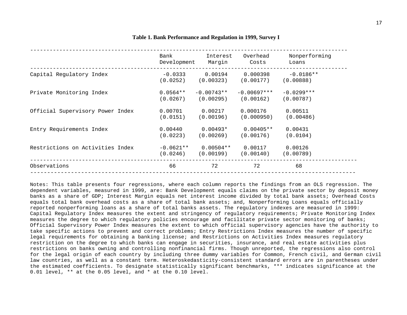|                                  | Bank        | Interest     | Overhead      | Nonperforming |
|----------------------------------|-------------|--------------|---------------|---------------|
|                                  | Development | Margin       | Costs         | Loans         |
| Capital Regulatory Index         | $-0.0333$   | 0.00194      | 0.000398      | $-0.0186**$   |
|                                  | (0.0252)    | (0.00323)    | (0.00177)     | (0.00888)     |
| Private Monitoring Index         | $0.0564**$  | $-0.00743**$ | $-0.00697***$ | $-0.0299***$  |
|                                  | (0.0267)    | (0.00295)    | (0.00162)     | (0.00787)     |
| Official Supervisory Power Index | 0.00701     | 0.00217      | 0.000176      | 0.00511       |
|                                  | (0.0151)    | (0.00196)    | (0.000950)    | (0.00486)     |
| Entry Requirements Index         | 0.00440     | $0.00493*$   | $0.00405**$   | 0.00431       |
|                                  | (0.0223)    | (0.00269)    | (0.00176)     | (0.0104)      |
| Restrictions on Activities Index | $-0.0621**$ | $0.00504**$  | 0.00117       | 0.00126       |
|                                  | (0.0246)    | (0.00199)    | (0.00140)     | (0.00789)     |
| Observations                     | 66          | 72           | 72            | 68            |

#### **Table 1. Bank Performance and Regulation in 1999, Survey I**

Notes: This table presents four regressions, where each column reports the findings from an OLS regression. The dependent variables, measured in 1999, are: Bank Development equals claims on the private sector by deposit money banks as a share of GDP; Interest Margin equals net interest income divided by total bank assets; Overhead Costs equals total bank overhead costs as a share of total bank assets; and, Nonperforming Loans equals officially reported nonperforming loans as a share of total banks assets. The regulatory indexes are measured in 1999: Capital Regulatory Index measures the extent and stringency of regulatory requirements; Private Monitoring Index measures the degree to which regulatory policies encourage and facilitate private sector monitoring of banks; Official Supervisory Power Index measures the extent to which official supervisory agencies have the authority to take specific actions to prevent and correct problems; Entry Restrictions Index measures the number of specific legal requirements for obtaining a banking license; and Restrictions on Activities Index measures regulatory restriction on the degree to which banks can engage in securities, insurance, and real estate activities plus restrictions on banks owning and controlling nonfinancial firms. Though unreported, the regressions also control for the legal origin of each country by including three dummy variables for Common, French civil, and German civil law countries, as well as a constant term. Heteroskedasticity-consistent standard errors are in parentheses under the estimated coefficients. To designate statistically significant benchmarks, \*\*\* indicates significance at the 0.01 level, \*\* at the 0.05 level, and \* at the 0.10 level.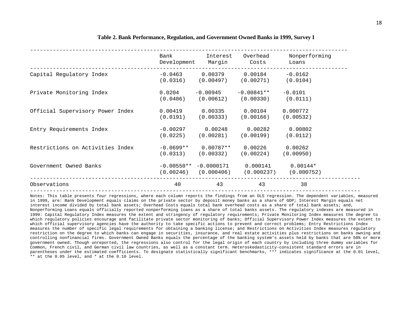|                                  | Bank<br>Development | Interest<br>Margin | Overhead<br>Costs       | Nonperforming<br>Loans |
|----------------------------------|---------------------|--------------------|-------------------------|------------------------|
| Capital Regulatory Index         | $-0.0463$           | 0.00379            | 0.00184                 | $-0.0162$              |
|                                  | (0.0316)            | (0.00497)          | (0.00271)               | (0.0104)               |
| Private Monitoring Index         | 0.0204              | $-0.00945$         | $-0.00841**$            | $-0.0101$              |
|                                  | (0.0406)            | (0.00612)          | (0.00330)               | (0.0111)               |
| Official Supervisory Power Index |                     | $0.00419$ 0.00335  | $0.\,\allowbreak 00104$ | 0.000772               |
|                                  | (0.0191)            | (0.00333)          | (0.00166)               | (0.00532)              |
| Entry Requirements Index         | $-0.00297$ 0.00248  |                    | 0.00282                 | 0.00802                |
|                                  | (0.0225)            | (0.00281)          | (0.00199)               | (0.0112)               |
| Restrictions on Activities Index | $-0.0699**$         | $0.00787**$        | 0.00226                 | 0.00262                |
|                                  | (0.0313)            | (0.00332)          | (0.00224)               | (0.00950)              |
| Government Owned Banks           | $-0.00550**$        | $-0.0000171$       | 0.000141                | $0.00144*$             |
|                                  | (0.00246)           | (0.000406)         | (0.000237)              | (0.000752)             |
| Observations                     | 40                  | 43                 | 43                      | 38                     |

#### **Table 2. Bank Performance, Regulation, and Government Owned Banks in 1999, Survey I**

Notes: This table presents four regressions, where each column reports the findings from an OLS regression. The dependent variables, measured in 1999, are: Bank Development equals claims on the private sector by deposit money banks as a share of GDP; Interest Margin equals net interest income divided by total bank assets; Overhead Costs equals total bank overhead costs as a share of total bank assets; and, Nonperforming Loans equals officially reported nonperforming loans as a share of total banks assets. The regulatory indexes are measured in 1999: Capital Regulatory Index measures the extent and stringency of regulatory requirements; Private Monitoring Index measures the degree to which regulatory policies encourage and facilitate private sector monitoring of banks; Official Supervisory Power Index measures the extent to which official supervisory agencies have the authority to take specific actions to prevent and correct problems; Entry Restrictions Index measures the number of specific legal requirements for obtaining a banking license; and Restrictions on Activities Index measures regulatory restriction on the degree to which banks can engage in securities, insurance, and real estate activities plus restrictions on banks owning and controlling nonfinancial firms. Government Owned Banks equals the percentage of the banking system's assets held by banks that are 50% or more government owned. Though unreported, the regressions also control for the legal origin of each country by including three dummy variables for Common, French civil, and German civil law countries, as well as a constant term. Heteroskedasticity-consistent standard errors are in parentheses under the estimated coefficients. To designate statistically significant benchmarks, \*\*\* indicates significance at the 0.01 level, \*\* at the 0.05 level, and \* at the 0.10 level.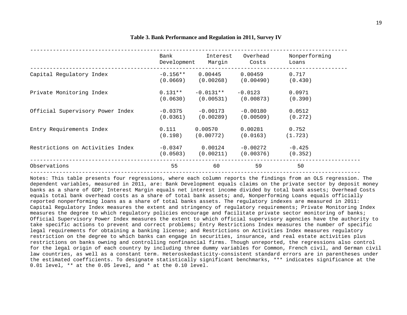|                                  | Bank        | Interest    | Overhead   | Nonperforming |
|----------------------------------|-------------|-------------|------------|---------------|
|                                  | Development | Margin      | Costs      | Loans         |
| Capital Regulatory Index         | $-0.156**$  | 0.00445     | 0.00459    | 0.717         |
|                                  | (0.0669)    | (0.00268)   | (0.00490)  | (0.430)       |
| Private Monitoring Index         | $0.131**$   | $-0.0131**$ | $-0.0123$  | 0.0971        |
|                                  | (0.0630)    | (0.00531)   | (0.00873)  | (0.390)       |
| Official Supervisory Power Index | $-0.0375$   | $-0.00173$  | $-0.00180$ | 0.0512        |
|                                  | (0.0361)    | (0.00289)   | (0.00509)  | (0.272)       |
| Entry Requirements Index         | 0.111       | 0.00570     | 0.00281    | 0.752         |
|                                  | (0.198)     | (0.00772)   | (0.0163)   | (1.723)       |
| Restrictions on Activities Index | $-0.0347$   | 0.00124     | $-0.00272$ | $-0.425$      |
|                                  | (0.0503)    | (0.00211)   | (0.00376)  | (0.352)       |
| Observations                     | 55          | 60          | 59         | 50            |

#### **Table 3. Bank Performance and Regulation in 2011, Survey IV**

Notes: This table presents four regressions, where each column reports the findings from an OLS regression. The dependent variables, measured in 2011, are: Bank Development equals claims on the private sector by deposit money banks as a share of GDP; Interest Margin equals net interest income divided by total bank assets; Overhead Costs equals total bank overhead costs as a share of total bank assets; and, Nonperforming Loans equals officially reported nonperforming loans as a share of total banks assets. The regulatory indexes are measured in 2011: Capital Regulatory Index measures the extent and stringency of regulatory requirements; Private Monitoring Index measures the degree to which regulatory policies encourage and facilitate private sector monitoring of banks; Official Supervisory Power Index measures the extent to which official supervisory agencies have the authority to take specific actions to prevent and correct problems; Entry Restrictions Index measures the number of specific legal requirements for obtaining a banking license; and Restrictions on Activities Index measures regulatory restriction on the degree to which banks can engage in securities, insurance, and real estate activities plus restrictions on banks owning and controlling nonfinancial firms. Though unreported, the regressions also control for the legal origin of each country by including three dummy variables for Common, French civil, and German civil law countries, as well as a constant term. Heteroskedasticity-consistent standard errors are in parentheses under the estimated coefficients. To designate statistically significant benchmarks, \*\*\* indicates significance at the 0.01 level, \*\* at the 0.05 level, and \* at the 0.10 level.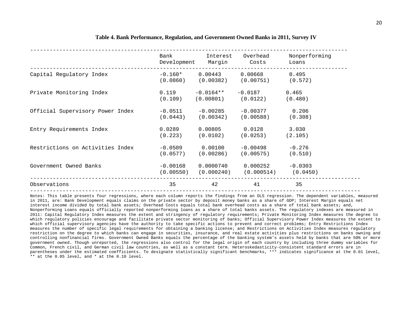|                                  | Bank<br>Development     | Interest                | Overhead<br>Margin Costs                                | Nonperforming<br>Loans |
|----------------------------------|-------------------------|-------------------------|---------------------------------------------------------|------------------------|
| Capital Regulatory Index         | $-0.160*$               | 0.00443                 | 0.00668<br>$(0.0860)$ $(0.00382)$ $(0.00751)$ $(0.572)$ | 0.495                  |
| Private Monitoring Index         | 0.119                   | $-0.0164$ **            | $-0.0187$<br>$(0.109)$ $(0.00801)$ $(0.0122)$           | 0.465<br>(0.480)       |
| Official Supervisory Power Index | $-0.0511$<br>(0.0443)   | $-0.00285$<br>(0.00342) | $-0.00377$<br>(0.00588)                                 | 0.206<br>(0.308)       |
| Entry Requirements Index         | 0.0289<br>(0.223)       | 0.00805<br>(0.0102)     | 0.0128<br>(0.0253)                                      | 3.030<br>(2.105)       |
| Restrictions on Activities Index | $-0.0509$<br>(0.0577)   | 0.00100<br>(0.00286)    | $-0.00498$<br>(0.00575)                                 | $-0.276$<br>(0.510)    |
| Government Owned Banks           | $-0.00168$<br>(0.00550) | 0.0000740<br>(0.000240) | 0.000252<br>$(0.000514)$ $(0.0450)$                     | $-0.0303$              |
| Observations                     | 35                      | 42                      | 41                                                      | 35                     |

#### **Table 4. Bank Performance, Regulation, and Government Owned Banks in 2011, Survey IV**

Notes: This table presents four regressions, where each column reports the findings from an OLS regression. The dependent variables, measured in 2011, are: Bank Development equals claims on the private sector by deposit money banks as a share of GDP; Interest Margin equals net interest income divided by total bank assets; Overhead Costs equals total bank overhead costs as a share of total bank assets; and, Nonperforming Loans equals officially reported nonperforming loans as a share of total banks assets. The regulatory indexes are measured in 2011: Capital Regulatory Index measures the extent and stringency of regulatory requirements; Private Monitoring Index measures the degree to which regulatory policies encourage and facilitate private sector monitoring of banks; Official Supervisory Power Index measures the extent to which official supervisory agencies have the authority to take specific actions to prevent and correct problems; Entry Restrictions Index measures the number of specific legal requirements for obtaining a banking license; and Restrictions on Activities Index measures regulatory restriction on the degree to which banks can engage in securities, insurance, and real estate activities plus restrictions on banks owning and controlling nonfinancial firms. Government Owned Banks equals the percentage of the banking system's assets held by banks that are 50% or more government owned. Though unreported, the regressions also control for the legal origin of each country by including three dummy variables for Common, French civil, and German civil law countries, as well as a constant term. Heteroskedasticity-consistent standard errors are in parentheses under the estimated coefficients. To designate statistically significant benchmarks, \*\*\* indicates significance at the 0.01 level, \*\* at the 0.05 level, and \* at the 0.10 level.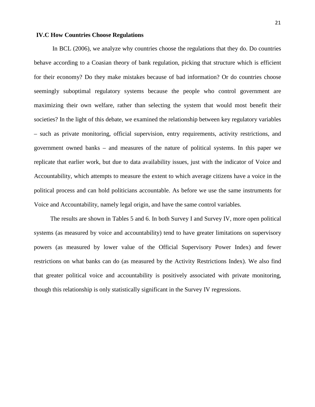# **IV.C How Countries Choose Regulations**

In BCL (2006), we analyze why countries choose the regulations that they do. Do countries behave according to a Coasian theory of bank regulation, picking that structure which is efficient for their economy? Do they make mistakes because of bad information? Or do countries choose seemingly suboptimal regulatory systems because the people who control government are maximizing their own welfare, rather than selecting the system that would most benefit their societies? In the light of this debate, we examined the relationship between key regulatory variables – such as private monitoring, official supervision, entry requirements, activity restrictions, and government owned banks – and measures of the nature of political systems. In this paper we replicate that earlier work, but due to data availability issues, just with the indicator of Voice and Accountability, which attempts to measure the extent to which average citizens have a voice in the political process and can hold politicians accountable. As before we use the same instruments for Voice and Accountability, namely legal origin, and have the same control variables.

The results are shown in Tables 5 and 6. In both Survey I and Survey IV, more open political systems (as measured by voice and accountability) tend to have greater limitations on supervisory powers (as measured by lower value of the Official Supervisory Power Index) and fewer restrictions on what banks can do (as measured by the Activity Restrictions Index). We also find that greater political voice and accountability is positively associated with private monitoring, though this relationship is only statistically significant in the Survey IV regressions.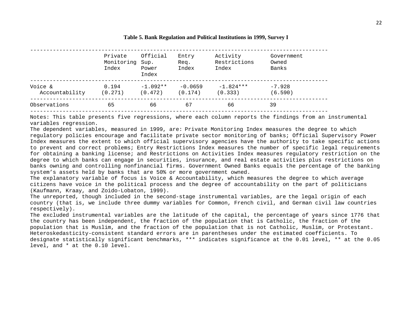|                           | Private<br>Monitoring Sup.<br>Index | Official<br>Power     | Entry<br>Req.<br>Index | Activity<br>Restrictions<br>Index | Government<br>Owned<br>Banks |
|---------------------------|-------------------------------------|-----------------------|------------------------|-----------------------------------|------------------------------|
|                           |                                     | Index                 |                        |                                   |                              |
| Voice &<br>Accountability | 0.194<br>(0.271)                    | $-1.092**$<br>(0.472) | $-0.0659$<br>(0.174)   | $-1.824***$<br>(0.333)            | $-7.928$<br>(6.590)          |
| Observations              | 65                                  | 66                    | 67                     | 66                                | 39                           |

#### **Table 5. Bank Regulation and Political Institutions in 1999, Survey I**

Notes: This table presents five regressions, where each column reports the findings from an instrumental variables regression.

The dependent variables, measured in 1999, are: Private Monitoring Index measures the degree to which regulatory policies encourage and facilitate private sector monitoring of banks; Official Supervisory Power Index measures the extent to which official supervisory agencies have the authority to take specific actions to prevent and correct problems; Entry Restrictions Index measures the number of specific legal requirements for obtaining a banking license; and Restrictions on Activities Index measures regulatory restriction on the degree to which banks can engage in securities, insurance, and real estate activities plus restrictions on banks owning and controlling nonfinancial firms. Government Owned Banks equals the percentage of the banking system's assets held by banks that are 50% or more government owned.

The explanatory variable of focus is Voice & Accountability, which measures the degree to which average citizens have voice in the political process and the degree of accountability on the part of politicians (Kaufmann, Kraay, and Zoido-Lobaton, 1999).

The unreported, though included in the second-stage instrumental variables, are the legal origin of each country (that is, we include three dummy variables for Common, French civil, and German civil law countries respectively).

The excluded instrumental variables are the latitude of the capital, the percentage of years since 1776 that the country has been independent, the fraction of the population that is Catholic, the fraction of the population that is Muslim, and the fraction of the population that is not Catholic, Muslim, or Protestant. Heteroskedasticity-consistent standard errors are in parentheses under the estimated coefficients. To designate statistically significant benchmarks, \*\*\* indicates significance at the 0.01 level, \*\* at the 0.05 level, and \* at the 0.10 level.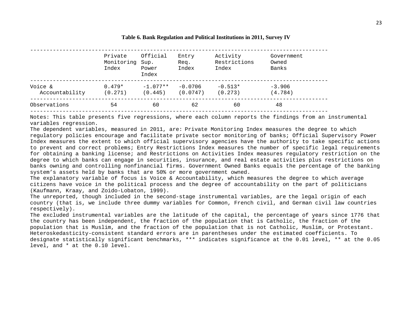#### **Table 6. Bank Regulation and Political Institutions in 2011, Survey IV**

|                           | Private<br>Monitoring<br>Index | Official<br>Sup.<br>Power<br>Index | Entry<br>Req.<br>Index | Activity<br>Restrictions<br>Index | Government<br>Owned<br>Banks |
|---------------------------|--------------------------------|------------------------------------|------------------------|-----------------------------------|------------------------------|
| Voice &<br>Accountability | $0.479*$<br>(0.271)            | $-1.077**$<br>(0.445)              | $-0.0706$<br>(0.0747)  | $-0.513*$<br>(0.273)              | $-3.906$<br>(4.784)          |
| Observations              | 54                             | 60                                 | 62                     | 60                                | 48                           |

Notes: This table presents five regressions, where each column reports the findings from an instrumental variables regression.

The dependent variables, measured in 2011, are: Private Monitoring Index measures the degree to which regulatory policies encourage and facilitate private sector monitoring of banks; Official Supervisory Power Index measures the extent to which official supervisory agencies have the authority to take specific actions to prevent and correct problems; Entry Restrictions Index measures the number of specific legal requirements for obtaining a banking license; and Restrictions on Activities Index measures regulatory restriction on the degree to which banks can engage in securities, insurance, and real estate activities plus restrictions on banks owning and controlling nonfinancial firms. Government Owned Banks equals the percentage of the banking system's assets held by banks that are 50% or more government owned.

The explanatory variable of focus is Voice & Accountability, which measures the degree to which average citizens have voice in the political process and the degree of accountability on the part of politicians (Kaufmann, Kraay, and Zoido-Lobaton, 1999).

The unreported, though included in the second-stage instrumental variables, are the legal origin of each country (that is, we include three dummy variables for Common, French civil, and German civil law countries respectively).

The excluded instrumental variables are the latitude of the capital, the percentage of years since 1776 that the country has been independent, the fraction of the population that is Catholic, the fraction of the population that is Muslim, and the fraction of the population that is not Catholic, Muslim, or Protestant. Heteroskedasticity-consistent standard errors are in parentheses under the estimated coefficients. To designate statistically significant benchmarks, \*\*\* indicates significance at the 0.01 level, \*\* at the 0.05 level, and \* at the 0.10 level.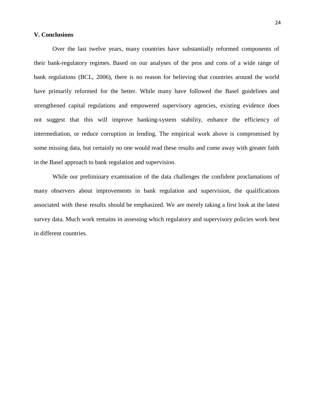# **V. Conclusions**

Over the last twelve years, many countries have substantially reformed components of their bank-regulatory regimes. Based on our analyses of the pros and cons of a wide range of bank regulations (BCL, 2006), there is no reason for believing that countries around the world have primarily reformed for the better. While many have followed the Basel guidelines and strengthened capital regulations and empowered supervisory agencies, existing evidence does not suggest that this will improve banking-system stability, enhance the efficiency of intermediation, or reduce corruption in lending. The empirical work above is compromised by some missing data, but certainly no one would read these results and come away with greater faith in the Basel approach to bank regulation and supervision.

While our preliminary examination of the data challenges the confident proclamations of many observers about improvements in bank regulation and supervision, the qualifications associated with these results should be emphasized. We are merely taking a first look at the latest survey data. Much work remains in assessing which regulatory and supervisory policies work best in different countries.